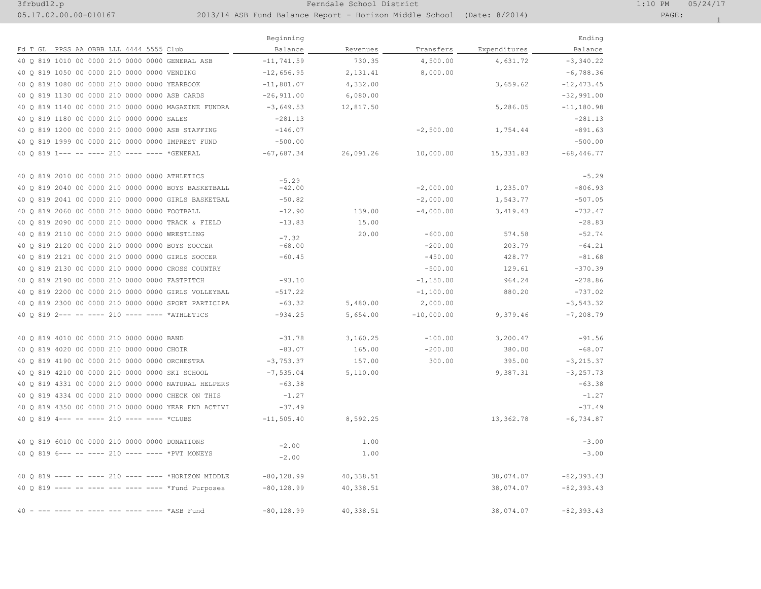## 3frbud12.p 1:10 PM 05/24/17

05.17.02.00.00-010167 2013/14 ASB Fund Balance Report - Horizon Middle School (Date: 8/2014) PAGE: 1

| ٠ |
|---|
|   |

|                                                     | Beginning     |           |              |              | Ending        |
|-----------------------------------------------------|---------------|-----------|--------------|--------------|---------------|
| Fd T GL PPSS AA OBBB LLL 4444 5555 Club             | Balance       | Revenues  | Transfers    | Expenditures | Balance       |
| 40 0 819 1010 00 0000 210 0000 0000 GENERAL ASB     | $-11, 741.59$ | 730.35    | 4,500.00     | 4,631.72     | $-3,340.22$   |
| 40 Q 819 1050 00 0000 210 0000 0000 VENDING         | $-12,656.95$  | 2, 131.41 | 8,000.00     |              | $-6,788.36$   |
| 40 0 819 1080 00 0000 210 0000 0000 YEARBOOK        | $-11,801.07$  | 4,332.00  |              | 3,659.62     | $-12, 473.45$ |
| 40 0 819 1130 00 0000 210 0000 0000 ASB CARDS       | $-26, 911.00$ | 6,080.00  |              |              | $-32,991.00$  |
| 40 0 819 1140 00 0000 210 0000 0000 MAGAZINE FUNDRA | $-3,649.53$   | 12,817.50 |              | 5,286.05     | $-11, 180.98$ |
| 40 0 819 1180 00 0000 210 0000 0000 SALES           | $-281.13$     |           |              |              | $-281.13$     |
| 40 Q 819 1200 00 0000 210 0000 0000 ASB STAFFING    | $-146.07$     |           | $-2,500.00$  | 1,754.44     | $-891.63$     |
| 40 0 819 1999 00 0000 210 0000 0000 IMPREST FUND    | $-500.00$     |           |              |              | $-500.00$     |
| 40 0 819 1 --- -- ---- 210 ---- ---- *GENERAL       | $-67,687.34$  | 26,091.26 | 10,000.00    | 15, 331.83   | $-68,446.77$  |
| 40 0 819 2010 00 0000 210 0000 0000 ATHLETICS       | $-5.29$       |           |              |              | $-5.29$       |
| 40 0 819 2040 00 0000 210 0000 0000 BOYS BASKETBALL | $-42.00$      |           | $-2,000.00$  | 1,235.07     | $-806.93$     |
| 40 0 819 2041 00 0000 210 0000 0000 GIRLS BASKETBAL | $-50.82$      |           | $-2,000.00$  | 1,543.77     | $-507.05$     |
| 40 0 819 2060 00 0000 210 0000 0000 FOOTBALL        | $-12.90$      | 139.00    | $-4,000.00$  | 3,419.43     | $-732.47$     |
| 40 0 819 2090 00 0000 210 0000 0000 TRACK & FIELD   | $-13.83$      | 15.00     |              |              | $-28.83$      |
| 40 Q 819 2110 00 0000 210 0000 0000 WRESTLING       | $-7.32$       | 20.00     | $-600.00$    | 574.58       | $-52.74$      |
| 40 Q 819 2120 00 0000 210 0000 0000 BOYS SOCCER     | $-68.00$      |           | $-200.00$    | 203.79       | $-64.21$      |
| 40 0 819 2121 00 0000 210 0000 0000 GIRLS SOCCER    | $-60.45$      |           | $-450.00$    | 428.77       | $-81.68$      |
| 40 Q 819 2130 00 0000 210 0000 0000 CROSS COUNTRY   |               |           | $-500.00$    | 129.61       | $-370.39$     |
| 40 0 819 2190 00 0000 210 0000 0000 FASTPITCH       | $-93.10$      |           | $-1, 150.00$ | 964.24       | $-278.86$     |
| 40 0 819 2200 00 0000 210 0000 0000 GIRLS VOLLEYBAL | $-517.22$     |           | $-1,100.00$  | 880.20       | $-737.02$     |
| 40 0 819 2300 00 0000 210 0000 0000 SPORT PARTICIPA | $-63.32$      | 5,480.00  | 2,000.00     |              | $-3, 543.32$  |
| 40 0 819 2--- -- ---- 210 ---- ---- *ATHLETICS      | $-934.25$     | 5,654.00  | $-10,000.00$ | 9,379.46     | $-7, 208.79$  |
| 40 0 819 4010 00 0000 210 0000 0000 BAND            | $-31.78$      | 3,160.25  | $-100.00$    | 3,200.47     | $-91.56$      |
| 40 Q 819 4020 00 0000 210 0000 0000 CHOIR           | $-83.07$      | 165.00    | $-200.00$    | 380.00       | $-68.07$      |
| 40 0 819 4190 00 0000 210 0000 0000 ORCHESTRA       | $-3, 753, 37$ | 157.00    | 300.00       | 395.00       | $-3, 215.37$  |
| 40 0 819 4210 00 0000 210 0000 0000 SKI SCHOOL      | $-7, 535.04$  | 5,110.00  |              | 9,387.31     | $-3, 257.73$  |
| 40 Q 819 4331 00 0000 210 0000 0000 NATURAL HELPERS | $-63.38$      |           |              |              | $-63.38$      |
| 40 0 819 4334 00 0000 210 0000 0000 CHECK ON THIS   | $-1.27$       |           |              |              | $-1.27$       |
| 40 0 819 4350 00 0000 210 0000 0000 YEAR END ACTIVI | $-37.49$      |           |              |              | $-37.49$      |
| 40 0 819 4--- -- ---- 210 ---- ---- *CLUBS          | $-11, 505.40$ | 8,592.25  |              | 13,362.78    | $-6,734.87$   |
| 40 0 819 6010 00 0000 210 0000 0000 DONATIONS       | $-2.00$       | 1.00      |              |              | $-3.00$       |
| 40 0 819 6--- -- ---- 210 ---- ---- *PVT MONEYS     | $-2.00$       | 1.00      |              |              | $-3.00$       |
| 40 0 819 ---- -- ---- 210 ---- ---- *HORIZON MIDDLE | $-80, 128.99$ | 40,338.51 |              | 38,074.07    | $-82, 393.43$ |
| 40 Q 819 ---- -- ---- --- ---- ---- *Fund Purposes  | $-80, 128.99$ | 40,338.51 |              | 38,074.07    | $-82, 393.43$ |
| 40<br>--- ---- ---- *ASB Fund                       | $-80, 128.99$ | 40,338.51 |              | 38,074.07    | $-82, 393.43$ |